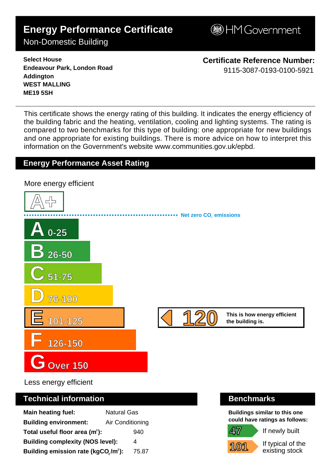# **Energy Performance Certificate**

**BHM Government** 

## Non-Domestic Building

**Select House Endeavour Park, London Road Addington WEST MALLING ME19 5SH**

**Certificate Reference Number:** 9115-3087-0193-0100-5921

This certificate shows the energy rating of this building. It indicates the energy efficiency of the building fabric and the heating, ventilation, cooling and lighting systems. The rating is compared to two benchmarks for this type of building: one appropriate for new buildings and one appropriate for existing buildings. There is more advice on how to interpret this information on the Government's websit[e www.communities.gov.uk/epbd.](http://www.communities.gov.uk/epbd)

### **Energy Performance Asset Rating**



Less energy efficient

#### **Technical information Benchmarks**

| <b>Main heating fuel:</b>                                    | <b>Natural Gas</b> |       |
|--------------------------------------------------------------|--------------------|-------|
| <b>Building environment:</b>                                 | Air Conditioning   |       |
| Total useful floor area $(m2)$ :                             |                    | 940   |
| <b>Building complexity (NOS level):</b>                      |                    | 4     |
| Building emission rate (kgCO <sub>2</sub> /m <sup>2</sup> ): |                    | 75.87 |

**Buildings similar to this one could have ratings as follows:**

If newly built

**101**

**47**

If typical of the existing stock